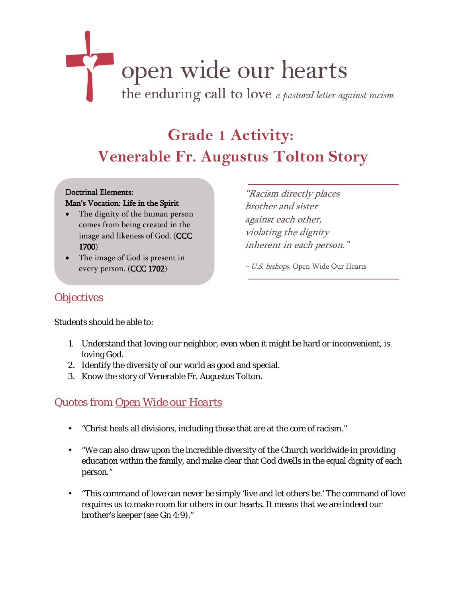# open wide our hearts the enduring call to love a pastoral letter against racism

# **Grade 1 Activity: Venerable Fr. Augustus Tolton Story**

#### Doctrinal Elements: Man's Vocation: Life in the Spirit

- The dignity of the human person comes from being created in the image and likeness of God. (CCC 1700)
- The image of God is present in every person. (CCC 1702)

"Racism directly places brother and sister against each other, violating the dignity inherent in each person."

– U.S. bishops, Open Wide Our Hearts

### **Objectives**

Students should be able to:

- 1. Understand that loving our neighbor, even when it might be hard or inconvenient, is loving God.
- 2. Identify the diversity of our world as good and special.
- 3. Know the story of Venerable Fr. Augustus Tolton.

## Quotes from *[Open Wide our Hearts](http://www.usccb.org/racism)*

- "Christ heals all divisions, including those that are at the core of racism."
- "We can also draw upon the incredible diversity of the Church worldwide in providing education within the family, and make clear that God dwells in the equal dignity of each person."
- "This command of love can never be simply 'live and let others be.' The command of love requires us to make room for others in our hearts. It means that we are indeed our brother's keeper (see Gn 4:9)."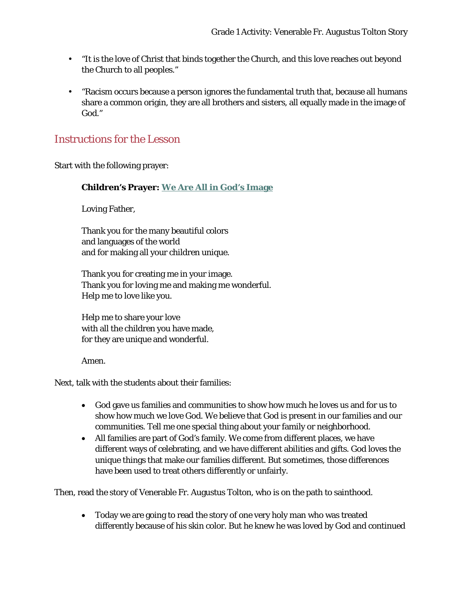- "It is the love of Christ that binds together the Church, and this love reaches out beyond the Church to all peoples."
- "Racism occurs because a person ignores the fundamental truth that, because all humans share a common origin, they are all brothers and sisters, all equally made in the image of God."

#### Instructions for the Lesson

Start with the following prayer:

#### **Children's Prayer: [We Are All in God's Image](http://www.usccb.org/issues-and-action/human-life-and-dignity/racism/upload/childrens-prayer-image.pdf)**

Loving Father,

Thank you for the many beautiful colors and languages of the world and for making all your children unique.

Thank you for creating me in your image. Thank you for loving me and making me wonderful. Help me to love like you.

Help me to share your love with all the children you have made, for they are unique and wonderful.

Amen.

Next, talk with the students about their families:

- God gave us families and communities to show how much he loves us and for us to show how much we love God. We believe that God is present in our families and our communities. Tell me one special thing about your family or neighborhood.
- All families are part of God's family. We come from different places, we have different ways of celebrating, and we have different abilities and gifts. God loves the unique things that make our families different. But sometimes, those differences have been used to treat others differently or unfairly.

Then, read the story of Venerable Fr. Augustus Tolton, who is on the path to sainthood.

• Today we are going to read the story of one very holy man who was treated differently because of his skin color. But he knew he was loved by God and continued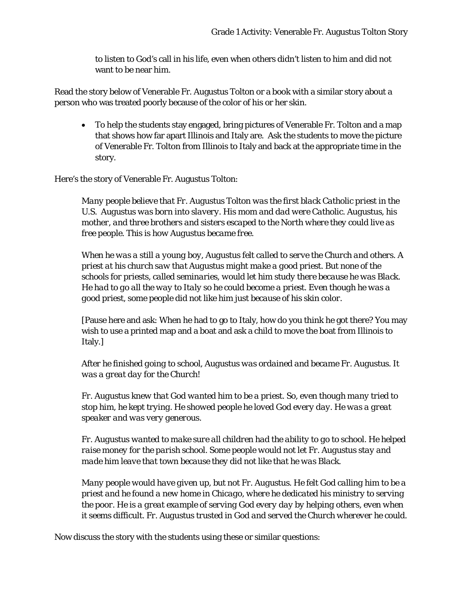to listen to God's call in his life, even when others didn't listen to him and did not want to be near him.

Read the story below of Venerable Fr. Augustus Tolton or a book with a similar story about a person who was treated poorly because of the color of his or her skin.

• To help the students stay engaged, bring pictures of Venerable Fr. Tolton and a map that shows how far apart Illinois and Italy are. Ask the students to move the picture of Venerable Fr. Tolton from Illinois to Italy and back at the appropriate time in the story.

Here's the story of Venerable Fr. Augustus Tolton:

*Many people believe that Fr. Augustus Tolton was the first black Catholic priest in the U.S. Augustus was born into slavery. His mom and dad were Catholic. Augustus, his mother, and three brothers and sisters escaped to the North where they could live as free people. This is how Augustus became free.* 

*When he was a still a young boy, Augustus felt called to serve the Church and others. A priest at his church saw that Augustus might make a good priest. But none of the schools for priests, called seminaries, would let him study there because he was Black. He had to go all the way to Italy so he could become a priest. Even though he was a good priest, some people did not like him just because of his skin color.*

[Pause here and ask: When he had to go to Italy, how do you think he got there? You may wish to use a printed map and a boat and ask a child to move the boat from Illinois to Italy.]

*After he finished going to school, Augustus was ordained and became Fr. Augustus. It was a great day for the Church!*

*Fr. Augustus knew that God wanted him to be a priest. So, even though many tried to stop him, he kept trying. He showed people he loved God every day. He was a great speaker and was very generous.* 

*Fr. Augustus wanted to make sure all children had the ability to go to school. He helped raise money for the parish school. Some people would not let Fr. Augustus stay and made him leave that town because they did not like that he was Black.* 

*Many people would have given up, but not Fr. Augustus. He felt God calling him to be a priest and he found a new home in Chicago, where he dedicated his ministry to serving the poor. He is a great example of serving God every day by helping others, even when it seems difficult. Fr. Augustus trusted in God and served the Church wherever he could.*

Now discuss the story with the students using these or similar questions: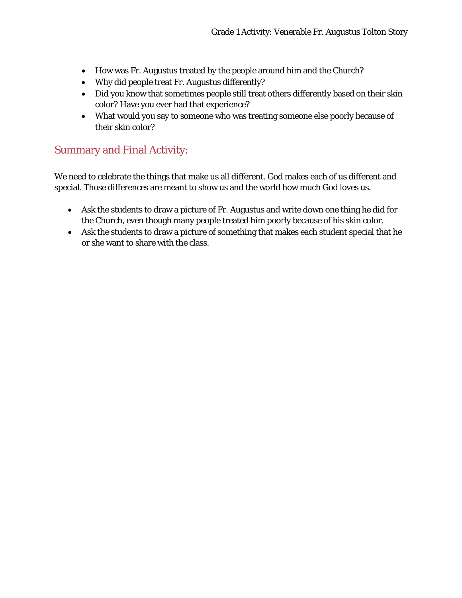- How was Fr. Augustus treated by the people around him and the Church?
- Why did people treat Fr. Augustus differently?
- Did you know that sometimes people still treat others differently based on their skin color? Have you ever had that experience?
- What would you say to someone who was treating someone else poorly because of their skin color?

#### Summary and Final Activity:

We need to celebrate the things that make us all different. God makes each of us different and special. Those differences are meant to show us and the world how much God loves us.

- Ask the students to draw a picture of Fr. Augustus and write down one thing he did for the Church, even though many people treated him poorly because of his skin color.
- Ask the students to draw a picture of something that makes each student special that he or she want to share with the class.